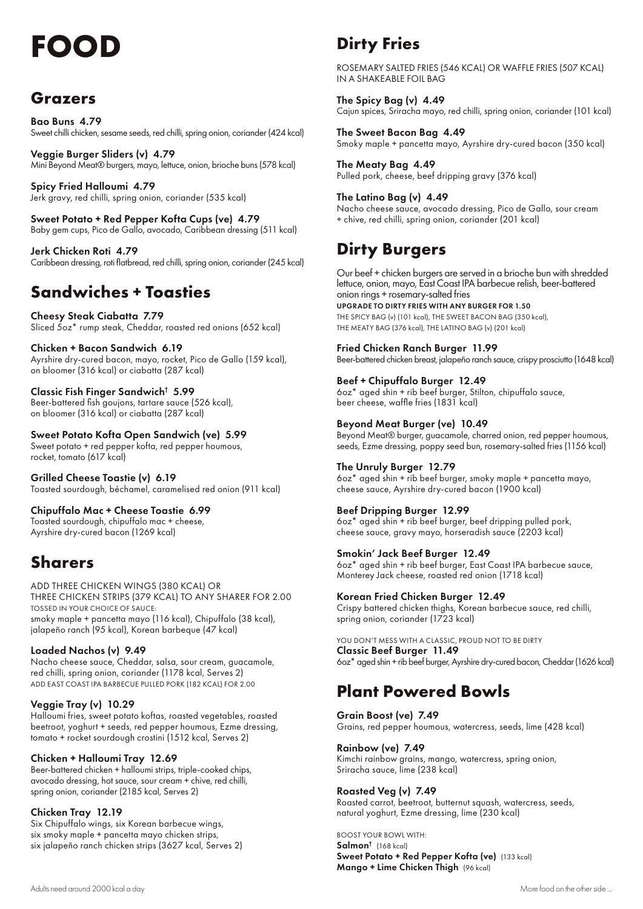# **FOOD** Dirty Fries

### **Grazers**

Bao Buns 4.79 Sweet chilli chicken, sesame seeds, red chilli, spring onion, coriander (424 kcal)

Veggie Burger Sliders (v) 4.79 Mini Beyond Meat® burgers, mayo, lettuce, onion, brioche buns (578 kcal)

Spicy Fried Halloumi 4.79 Jerk gravy, red chilli, spring onion, coriander (535 kcal)

Sweet Potato + Red Pepper Kofta Cups (ve) 4.79 Baby gem cups, Pico de Gallo, avocado, Caribbean dressing (511 kcal)

Jerk Chicken Roti 4.79 Caribbean dressing, roti flatbread, red chilli, spring onion, coriander (245 kcal)

### **Sandwiches + Toasties**

Cheesy Steak Ciabatta 7.79 Sliced 5oz\* rump steak, Cheddar, roasted red onions (652 kcal)

Chicken + Bacon Sandwich 6.19 Ayrshire dry-cured bacon, mayo, rocket, Pico de Gallo (159 kcal), on bloomer (316 kcal) or ciabatta (287 kcal)

Classic Fish Finger Sandwich† 5.99 Beer-battered fish goujons, tartare sauce (526 kcal), on bloomer (316 kcal) or ciabatta (287 kcal)

#### Sweet Potato Kofta Open Sandwich (ve) 5.99

Sweet potato + red pepper kofta, red pepper houmous, rocket, tomato (617 kcal)

Grilled Cheese Toastie (v) 6.19 Toasted sourdough, béchamel, caramelised red onion (911 kcal)

Chipuffalo Mac + Cheese Toastie 6.99 Toasted sourdough, chipuffalo mac + cheese, Ayrshire dry-cured bacon (1269 kcal)

### **Sharers**

ADD THREE CHICKEN WINGS (380 KCAL) OR THREE CHICKEN STRIPS (379 KCAL) TO ANY SHARER FOR 2.00 TOSSED IN YOUR CHOICE OF SAUCE: smoky maple + pancetta mayo (116 kcal), Chipuffalo (38 kcal), jalapeño ranch (95 kcal), Korean barbeque (47 kcal)

#### Loaded Nachos (v) 9.49

Nacho cheese sauce, Cheddar, salsa, sour cream, guacamole, red chilli, spring onion, coriander (1178 kcal, Serves 2) ADD EAST COAST IPA BARBECUE PULLED PORK (182 KCAL) FOR 2.00

#### Veggie Tray (v) 10.29

Halloumi fries, sweet potato koftas, roasted vegetables, roasted beetroot, yoghurt + seeds, red pepper houmous, Ezme dressing, tomato + rocket sourdough crostini (1512 kcal, Serves 2)

#### Chicken + Halloumi Tray 12.69

Beer-battered chicken + halloumi strips, triple-cooked chips, avocado dressing, hot sauce, sour cream + chive, red chilli, spring onion, coriander (2185 kcal, Serves 2)

#### Chicken Tray 12.19

Six Chipuffalo wings, six Korean barbecue wings, six smoky maple + pancetta mayo chicken strips, six jalapeño ranch chicken strips (3627 kcal, Serves 2)

ROSEMARY SALTED FRIES (546 KCAL) OR WAFFLE FRIES (507 KCAL) IN A SHAKEABLE FOIL BAG

The Spicy Bag (v) 4.49 Cajun spices, Sriracha mayo, red chilli, spring onion, coriander (101 kcal)

The Sweet Bacon Bag 4.49 Smoky maple + pancetta mayo, Ayrshire dry-cured bacon (350 kcal)

The Meaty Bag 4.49 Pulled pork, cheese, beef dripping gravy (376 kcal)

The Latino Bag (v) 4.49 Nacho cheese sauce, avocado dressing, Pico de Gallo, sour cream + chive, red chilli, spring onion, coriander (201 kcal)

### **Dirty Burgers**

Our beef + chicken burgers are served in a brioche bun with shredded lettuce, onion, mayo, East Coast IPA barbecue relish, beer-battered onion rings + rosemary-salted fries UPGRADE TO DIRTY FRIES WITH ANY BURGER FOR 1.50

THE SPICY BAG (v) (101 kcal), THE SWEET BACON BAG (350 kcal), THE MEATY BAG (376 kcal), THE LATINO BAG (v) (201 kcal)

Fried Chicken Ranch Burger 11.99 Beer-battered chicken breast, jalapeño ranch sauce, crispy prosciutto (1648 kcal)

Beef + Chipuffalo Burger 12.49 6oz\* aged shin + rib beef burger, Stilton, chipuffalo sauce, beer cheese, waffle fries (1831 kcal)

#### Beyond Meat Burger (ve) 10.49

Beyond Meat® burger, guacamole, charred onion, red pepper houmous, seeds, Ezme dressing, poppy seed bun, rosemary-salted fries (1156 kcal)

#### The Unruly Burger 12.79

6oz\* aged shin + rib beef burger, smoky maple + pancetta mayo, cheese sauce, Ayrshire dry-cured bacon (1900 kcal)

#### Beef Dripping Burger 12.99

6oz\* aged shin + rib beef burger, beef dripping pulled pork, cheese sauce, gravy mayo, horseradish sauce (2203 kcal)

#### Smokin' Jack Beef Burger 12.49

6oz\* aged shin + rib beef burger, East Coast IPA barbecue sauce, Monterey Jack cheese, roasted red onion (1718 kcal)

#### Korean Fried Chicken Burger 12.49

Crispy battered chicken thighs, Korean barbecue sauce, red chilli, spring onion, coriander (1723 kcal)

YOU DON'T MESS WITH A CLASSIC, PROUD NOT TO BE DIRTY Classic Beef Burger 11.49 6oz\* aged shin + rib beef burger, Ayrshire dry-cured bacon, Cheddar (1626 kcal)

### **Plant Powered Bowls**

Grain Boost (ve) 7.49 Grains, red pepper houmous, watercress, seeds, lime (428 kcal)

Rainbow (ve) 7.49

Kimchi rainbow grains, mango, watercress, spring onion, Sriracha sauce, lime (238 kcal)

#### Roasted Veg (v) 7.49

Roasted carrot, beetroot, butternut squash, watercress, seeds, natural yoghurt, Ezme dressing, lime (230 kcal)

BOOST YOUR BOWL WITH: Salmon<sup>†</sup> (168 kcal) Sweet Potato + Red Pepper Kofta (ve) (133 kcal) Mango + Lime Chicken Thigh (96 kcal)